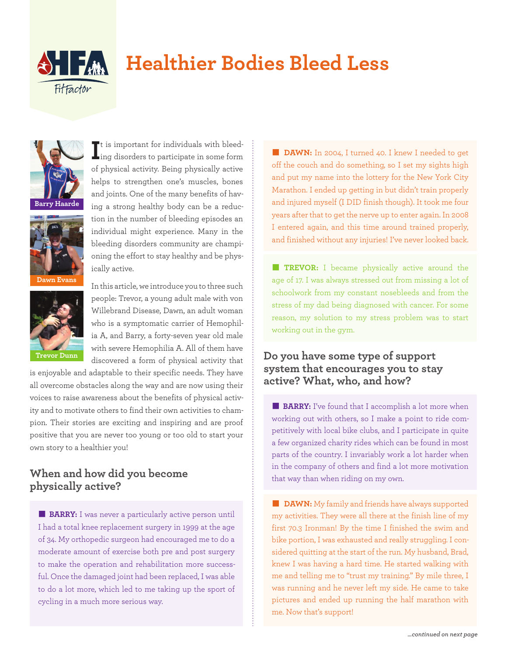

# **Healthier Bodies Bleed Less**



**Dawn Evans**



of physical activity. Being physically active helps to strengthen one's muscles, bones and joints. One of the many benefits of having a strong healthy body can be a reduction in the number of bleeding episodes an individual might experience. Many in the bleeding disorders community are championing the effort to stay healthy and be physically active. In this article, we introduce you to three such

It is important for individuals with bleed-<br>ling disorders to participate in some form ing disorders to participate in some form

people: Trevor, a young adult male with von Willebrand Disease, Dawn, an adult woman who is a symptomatic carrier of Hemophilia A, and Barry, a forty-seven year old male with severe Hemophilia A. All of them have discovered a form of physical activity that

is enjoyable and adaptable to their specific needs. They have all overcome obstacles along the way and are now using their voices to raise awareness about the benefits of physical activity and to motivate others to find their own activities to champion. Their stories are exciting and inspiring and are proof positive that you are never too young or too old to start your own story to a healthier you!

# **When and how did you become physically active?**

**BARRY:** I was never a particularly active person until I had a total knee replacement surgery in 1999 at the age of 34. My orthopedic surgeon had encouraged me to do a moderate amount of exercise both pre and post surgery to make the operation and rehabilitation more successful. Once the damaged joint had been replaced, I was able to do a lot more, which led to me taking up the sport of cycling in a much more serious way.

**DAWN:** In 2004, I turned 40. I knew I needed to get off the couch and do something, so I set my sights high and put my name into the lottery for the New York City Marathon. I ended up getting in but didn't train properly and injured myself (I DID finish though). It took me four years after that to get the nerve up to enter again. In 2008 I entered again, and this time around trained properly, and finished without any injuries! I've never looked back.

**TREVOR:** I became physically active around the age of 17. I was always stressed out from missing a lot of schoolwork from my constant nosebleeds and from the stress of my dad being diagnosed with cancer. For some reason, my solution to my stress problem was to start working out in the gym.

# **Do you have some type of support system that encourages you to stay active? What, who, and how?**

**BARRY:** I've found that I accomplish a lot more when working out with others, so I make a point to ride competitively with local bike clubs, and I participate in quite a few organized charity rides which can be found in most parts of the country. I invariably work a lot harder when in the company of others and find a lot more motivation that way than when riding on my own.

**n DAWN:** My family and friends have always supported my activities. They were all there at the finish line of my first 70.3 Ironman! By the time I finished the swim and bike portion, I was exhausted and really struggling. I considered quitting at the start of the run. My husband, Brad, knew I was having a hard time. He started walking with me and telling me to "trust my training." By mile three, I was running and he never left my side. He came to take pictures and ended up running the half marathon with me. Now that's support!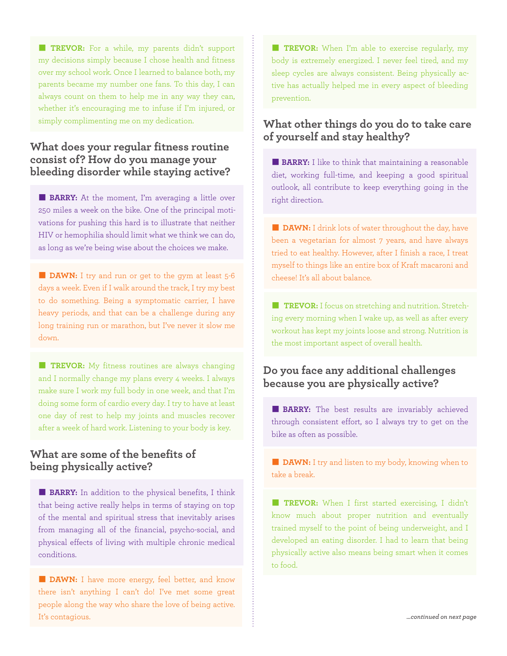**TREVOR:** For a while, my parents didn't support my decisions simply because I chose health and fitness over my school work. Once I learned to balance both, my parents became my number one fans. To this day, I can always count on them to help me in any way they can, whether it's encouraging me to infuse if I'm injured, or simply complimenting me on my dedication.

### **What does your regular fitness routine consist of? How do you manage your bleeding disorder while staying active?**

**BARRY:** At the moment, I'm averaging a little over 250 miles a week on the bike. One of the principal motivations for pushing this hard is to illustrate that neither HIV or hemophilia should limit what we think we can do, as long as we're being wise about the choices we make.

**DAWN:** I try and run or get to the gym at least 5-6 days a week. Even if I walk around the track, I try my best to do something. Being a symptomatic carrier, I have heavy periods, and that can be a challenge during any long training run or marathon, but I've never it slow me down.

**TREVOR:** My fitness routines are always changing and I normally change my plans every 4 weeks. I always make sure I work my full body in one week, and that I'm doing some form of cardio every day. I try to have at least one day of rest to help my joints and muscles recover after a week of hard work. Listening to your body is key.

## **What are some of the benefits of being physically active?**

**BARRY:** In addition to the physical benefits, I think that being active really helps in terms of staying on top of the mental and spiritual stress that inevitably arises from managing all of the financial, psycho-social, and physical effects of living with multiple chronic medical conditions.

**DAWN:** I have more energy, feel better, and know there isn't anything I can't do! I've met some great people along the way who share the love of being active. It's contagious.

**TREVOR:** When I'm able to exercise regularly, my body is extremely energized. I never feel tired, and my sleep cycles are always consistent. Being physically active has actually helped me in every aspect of bleeding prevention.

## **What other things do you do to take care of yourself and stay healthy?**

**BARRY:** I like to think that maintaining a reasonable diet, working full-time, and keeping a good spiritual outlook, all contribute to keep everything going in the right direction.

**n DAWN:** I drink lots of water throughout the day, have been a vegetarian for almost 7 years, and have always tried to eat healthy. However, after I finish a race, I treat myself to things like an entire box of Kraft macaroni and cheese! It's all about balance.

**TREVOR:** I focus on stretching and nutrition. Stretching every morning when I wake up, as well as after every workout has kept my joints loose and strong. Nutrition is the most important aspect of overall health.

# **Do you face any additional challenges because you are physically active?**

**BARRY:** The best results are invariably achieved through consistent effort, so I always try to get on the bike as often as possible.

**n DAWN:** I try and listen to my body, knowing when to take a break.

**TREVOR:** When I first started exercising, I didn't know much about proper nutrition and eventually trained myself to the point of being underweight, and I developed an eating disorder. I had to learn that being physically active also means being smart when it comes to food.